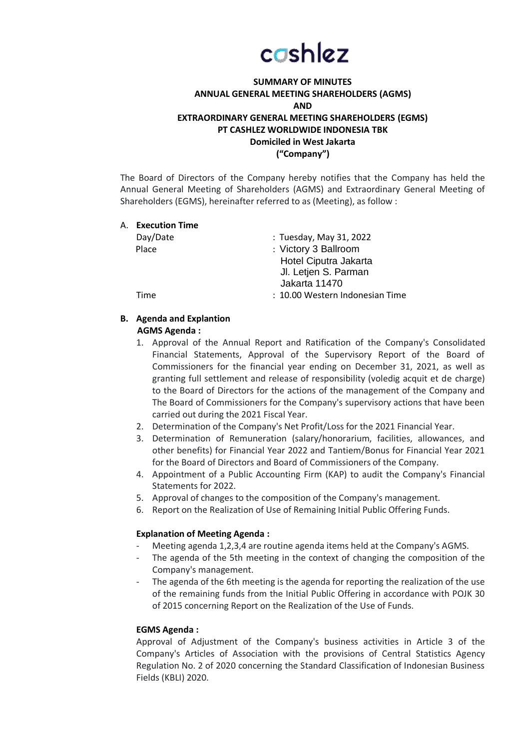# cashlez

# **SUMMARY OF MINUTES ANNUAL GENERAL MEETING SHAREHOLDERS (AGMS) AND EXTRAORDINARY GENERAL MEETING SHAREHOLDERS (EGMS) PT CASHLEZ WORLDWIDE INDONESIA TBK Domiciled in West Jakarta ("Company")**

The Board of Directors of the Company hereby notifies that the Company has held the Annual General Meeting of Shareholders (AGMS) and Extraordinary General Meeting of Shareholders (EGMS), hereinafter referred to as (Meeting), as follow :

|  | A. Execution Time |                                 |
|--|-------------------|---------------------------------|
|  | Day/Date          | : Tuesday, May 31, 2022         |
|  | Place             | : Victory 3 Ballroom            |
|  |                   | Hotel Ciputra Jakarta           |
|  |                   | Jl. Letjen S. Parman            |
|  |                   | Jakarta 11470                   |
|  | Time              | : 10.00 Western Indonesian Time |
|  |                   |                                 |

**B. Agenda and Explantion**

# **AGMS Agenda :**

- 1. Approval of the Annual Report and Ratification of the Company's Consolidated Financial Statements, Approval of the Supervisory Report of the Board of Commissioners for the financial year ending on December 31, 2021, as well as granting full settlement and release of responsibility (voledig acquit et de charge) to the Board of Directors for the actions of the management of the Company and The Board of Commissioners for the Company's supervisory actions that have been carried out during the 2021 Fiscal Year.
- 2. Determination of the Company's Net Profit/Loss for the 2021 Financial Year.
- 3. Determination of Remuneration (salary/honorarium, facilities, allowances, and other benefits) for Financial Year 2022 and Tantiem/Bonus for Financial Year 2021 for the Board of Directors and Board of Commissioners of the Company.
- 4. Appointment of a Public Accounting Firm (KAP) to audit the Company's Financial Statements for 2022.
- 5. Approval of changes to the composition of the Company's management.
- 6. Report on the Realization of Use of Remaining Initial Public Offering Funds.

# **Explanation of Meeting Agenda :**

- Meeting agenda 1,2,3,4 are routine agenda items held at the Company's AGMS.
- The agenda of the 5th meeting in the context of changing the composition of the Company's management.
- The agenda of the 6th meeting is the agenda for reporting the realization of the use of the remaining funds from the Initial Public Offering in accordance with POJK 30 of 2015 concerning Report on the Realization of the Use of Funds.

# **EGMS Agenda :**

Approval of Adjustment of the Company's business activities in Article 3 of the Company's Articles of Association with the provisions of Central Statistics Agency Regulation No. 2 of 2020 concerning the Standard Classification of Indonesian Business Fields (KBLI) 2020.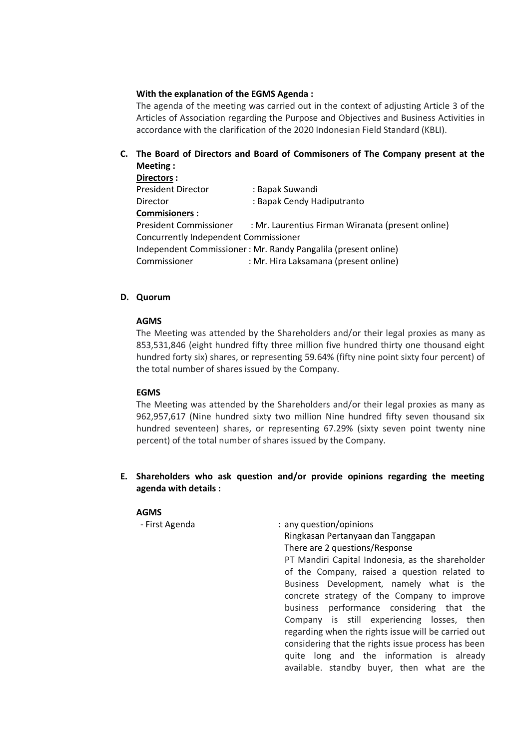### **With the explanation of the EGMS Agenda :**

The agenda of the meeting was carried out in the context of adjusting Article 3 of the Articles of Association regarding the Purpose and Objectives and Business Activities in accordance with the clarification of the 2020 Indonesian Field Standard (KBLI).

# **C. The Board of Directors and Board of Commisoners of The Company present at the Meeting :**

| Directors:                                                     |                                                   |  |  |  |
|----------------------------------------------------------------|---------------------------------------------------|--|--|--|
| <b>President Director</b>                                      | : Bapak Suwandi                                   |  |  |  |
| Director                                                       | : Bapak Cendy Hadiputranto                        |  |  |  |
| <b>Commisioners:</b>                                           |                                                   |  |  |  |
| <b>President Commissioner</b>                                  | : Mr. Laurentius Firman Wiranata (present online) |  |  |  |
| Concurrently Independent Commissioner                          |                                                   |  |  |  |
| Independent Commissioner: Mr. Randy Pangalila (present online) |                                                   |  |  |  |
| Commissioner                                                   | : Mr. Hira Laksamana (present online)             |  |  |  |
|                                                                |                                                   |  |  |  |

# **D. Quorum**

#### **AGMS**

The Meeting was attended by the Shareholders and/or their legal proxies as many as 853,531,846 (eight hundred fifty three million five hundred thirty one thousand eight hundred forty six) shares, or representing 59.64% (fifty nine point sixty four percent) of the total number of shares issued by the Company.

#### **EGMS**

The Meeting was attended by the Shareholders and/or their legal proxies as many as 962,957,617 (Nine hundred sixty two million Nine hundred fifty seven thousand six hundred seventeen) shares, or representing 67.29% (sixty seven point twenty nine percent) of the total number of shares issued by the Company.

**E. Shareholders who ask question and/or provide opinions regarding the meeting agenda with details :**

#### **AGMS**

- First Agenda : any question/opinions Ringkasan Pertanyaan dan Tanggapan There are 2 questions/Response PT Mandiri Capital Indonesia, as the shareholder of the Company, raised a question related to Business Development, namely what is the concrete strategy of the Company to improve business performance considering that the Company is still experiencing losses, then regarding when the rights issue will be carried out considering that the rights issue process has been quite long and the information is already available. standby buyer, then what are the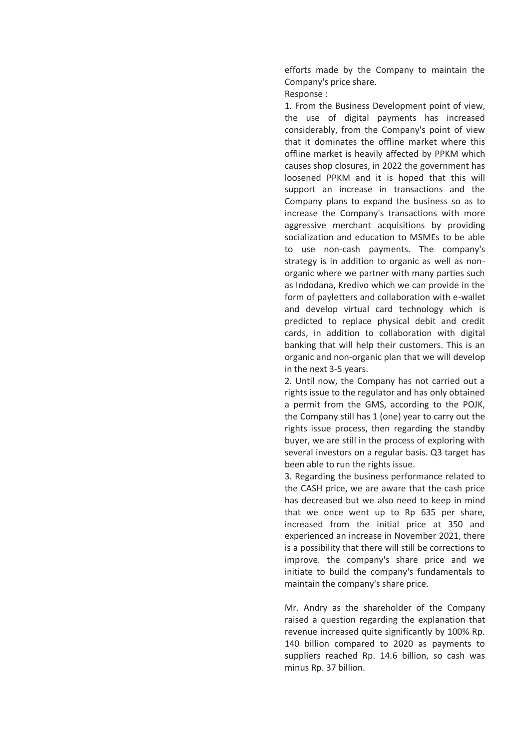efforts made by the Company to maintain the Company's price share.

Response :

1. From the Business Development point of view, the use of digital payments has increased considerably, from the Company's point of view that it dominates the offline market where this offline market is heavily affected by PPKM which causes shop closures, in 2022 the government has loosened PPKM and it is hoped that this will support an increase in transactions and the Company plans to expand the business so as to increase the Company's transactions with more aggressive merchant acquisitions by providing socialization and education to MSMEs to be able to use non-cash payments. The company's strategy is in addition to organic as well as nonorganic where we partner with many parties such as Indodana, Kredivo which we can provide in the form of payletters and collaboration with e-wallet and develop virtual card technology which is predicted to replace physical debit and credit cards, in addition to collaboration with digital banking that will help their customers. This is an organic and non-organic plan that we will develop in the next 3-5 years.

2. Until now, the Company has not carried out a rights issue to the regulator and has only obtained a permit from the GMS, according to the POJK, the Company still has 1 (one) year to carry out the rights issue process, then regarding the standby buyer, we are still in the process of exploring with several investors on a regular basis. Q3 target has been able to run the rights issue.

3. Regarding the business performance related to the CASH price, we are aware that the cash price has decreased but we also need to keep in mind that we once went up to Rp 635 per share, increased from the initial price at 350 and experienced an increase in November 2021, there is a possibility that there will still be corrections to improve. the company's share price and we initiate to build the company's fundamentals to maintain the company's share price.

Mr. Andry as the shareholder of the Company raised a question regarding the explanation that revenue increased quite significantly by 100% Rp. 140 billion compared to 2020 as payments to suppliers reached Rp. 14.6 billion, so cash was minus Rp. 37 billion.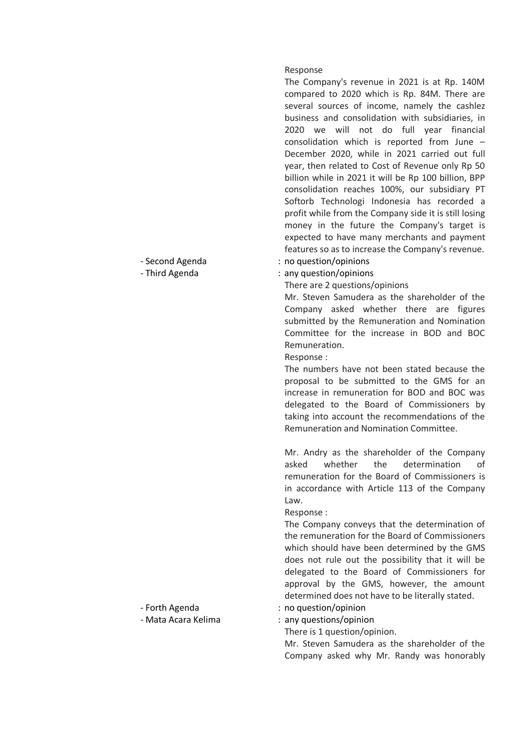#### Response

The Company's revenue in 2021 is at Rp. 140M compared to 2020 which is Rp. 84M. There are several sources of income, namely the cashlez business and consolidation with subsidiaries, in 2020 we will not do full year financial consolidation which is reported from June – December 2020, while in 2021 carried out full year, then related to Cost of Revenue only Rp 50 billion while in 2021 it will be Rp 100 billion, BPP consolidation reaches 100%, our subsidiary PT Softorb Technologi Indonesia has recorded a profit while from the Company side it is still losing money in the future the Company's target is expected to have many merchants and payment features so as to increase the Company's revenue.

- Second Agenda : no question/opinions
- Third Agenda : any question/opinions

There are 2 questions/opinions

Mr. Steven Samudera as the shareholder of the Company asked whether there are figures submitted by the Remuneration and Nomination Committee for the increase in BOD and BOC Remuneration.

Response :

The numbers have not been stated because the proposal to be submitted to the GMS for an increase in remuneration for BOD and BOC was delegated to the Board of Commissioners by taking into account the recommendations of the Remuneration and Nomination Committee.

Mr. Andry as the shareholder of the Company asked whether the determination of remuneration for the Board of Commissioners is in accordance with Article 113 of the Company Law.

#### Response :

The Company conveys that the determination of the remuneration for the Board of Commissioners which should have been determined by the GMS does not rule out the possibility that it will be delegated to the Board of Commissioners for approval by the GMS, however, the amount determined does not have to be literally stated.

- Forth Agenda : no question/opinion
	-

There is 1 question/opinion.

Mr. Steven Samudera as the shareholder of the Company asked why Mr. Randy was honorably

- 
- Mata Acara Kelima : any questions/opinion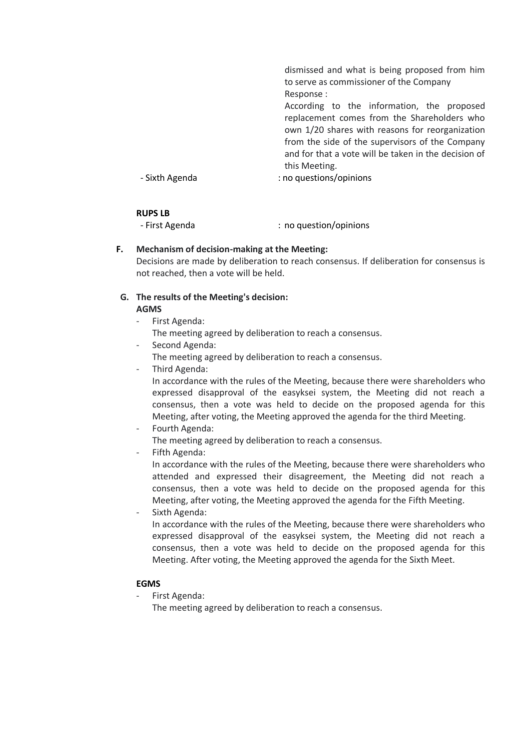|                | dismissed and what is being proposed from him        |
|----------------|------------------------------------------------------|
|                | to serve as commissioner of the Company              |
|                | Response:                                            |
|                | According to the information, the proposed           |
|                | replacement comes from the Shareholders who          |
|                | own 1/20 shares with reasons for reorganization      |
|                | from the side of the supervisors of the Company      |
|                | and for that a vote will be taken in the decision of |
|                | this Meeting.                                        |
| - Sixth Agenda | : no questions/opinions                              |
|                |                                                      |

#### **RUPS LB**

- First Agenda : no question/opinions

# **F. Mechanism of decision-making at the Meeting:**

Decisions are made by deliberation to reach consensus. If deliberation for consensus is not reached, then a vote will be held.

#### **G. The results of the Meeting's decision: AGMS**

- First Agenda: The meeting agreed by deliberation to reach a consensus.
- Second Agenda:
- The meeting agreed by deliberation to reach a consensus.
- Third Agenda:

In accordance with the rules of the Meeting, because there were shareholders who expressed disapproval of the easyksei system, the Meeting did not reach a consensus, then a vote was held to decide on the proposed agenda for this Meeting, after voting, the Meeting approved the agenda for the third Meeting.

Fourth Agenda:

The meeting agreed by deliberation to reach a consensus.

- Fifth Agenda:

In accordance with the rules of the Meeting, because there were shareholders who attended and expressed their disagreement, the Meeting did not reach a consensus, then a vote was held to decide on the proposed agenda for this Meeting, after voting, the Meeting approved the agenda for the Fifth Meeting.

Sixth Agenda:

In accordance with the rules of the Meeting, because there were shareholders who expressed disapproval of the easyksei system, the Meeting did not reach a consensus, then a vote was held to decide on the proposed agenda for this Meeting. After voting, the Meeting approved the agenda for the Sixth Meet.

# **EGMS**

- First Agenda:

The meeting agreed by deliberation to reach a consensus.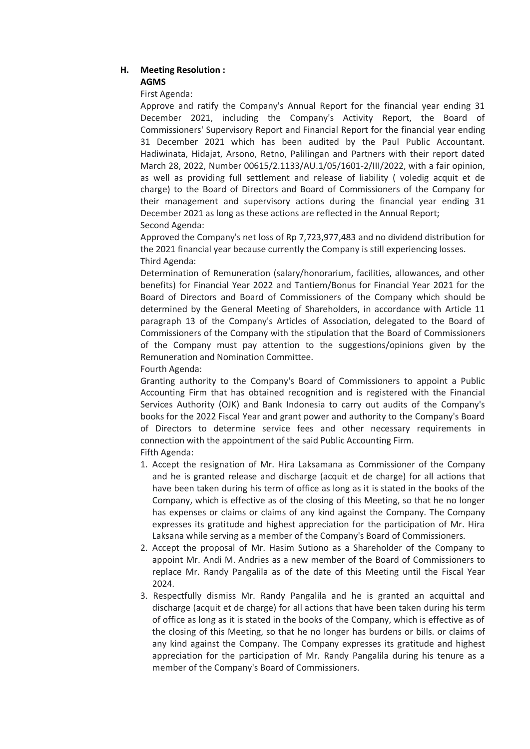# **H. Meeting Resolution : AGMS**

First Agenda:

Approve and ratify the Company's Annual Report for the financial year ending 31 December 2021, including the Company's Activity Report, the Board of Commissioners' Supervisory Report and Financial Report for the financial year ending 31 December 2021 which has been audited by the Paul Public Accountant. Hadiwinata, Hidajat, Arsono, Retno, Palilingan and Partners with their report dated March 28, 2022, Number 00615/2.1133/AU.1/05/1601-2/III/2022, with a fair opinion, as well as providing full settlement and release of liability ( voledig acquit et de charge) to the Board of Directors and Board of Commissioners of the Company for their management and supervisory actions during the financial year ending 31 December 2021 as long as these actions are reflected in the Annual Report; Second Agenda:

Approved the Company's net loss of Rp 7,723,977,483 and no dividend distribution for the 2021 financial year because currently the Company is still experiencing losses. Third Agenda:

Determination of Remuneration (salary/honorarium, facilities, allowances, and other benefits) for Financial Year 2022 and Tantiem/Bonus for Financial Year 2021 for the Board of Directors and Board of Commissioners of the Company which should be determined by the General Meeting of Shareholders, in accordance with Article 11 paragraph 13 of the Company's Articles of Association, delegated to the Board of Commissioners of the Company with the stipulation that the Board of Commissioners of the Company must pay attention to the suggestions/opinions given by the Remuneration and Nomination Committee.

Fourth Agenda:

Granting authority to the Company's Board of Commissioners to appoint a Public Accounting Firm that has obtained recognition and is registered with the Financial Services Authority (OJK) and Bank Indonesia to carry out audits of the Company's books for the 2022 Fiscal Year and grant power and authority to the Company's Board of Directors to determine service fees and other necessary requirements in connection with the appointment of the said Public Accounting Firm.

Fifth Agenda:

- 1. Accept the resignation of Mr. Hira Laksamana as Commissioner of the Company and he is granted release and discharge (acquit et de charge) for all actions that have been taken during his term of office as long as it is stated in the books of the Company, which is effective as of the closing of this Meeting, so that he no longer has expenses or claims or claims of any kind against the Company. The Company expresses its gratitude and highest appreciation for the participation of Mr. Hira Laksana while serving as a member of the Company's Board of Commissioners.
- 2. Accept the proposal of Mr. Hasim Sutiono as a Shareholder of the Company to appoint Mr. Andi M. Andries as a new member of the Board of Commissioners to replace Mr. Randy Pangalila as of the date of this Meeting until the Fiscal Year 2024.
- 3. Respectfully dismiss Mr. Randy Pangalila and he is granted an acquittal and discharge (acquit et de charge) for all actions that have been taken during his term of office as long as it is stated in the books of the Company, which is effective as of the closing of this Meeting, so that he no longer has burdens or bills. or claims of any kind against the Company. The Company expresses its gratitude and highest appreciation for the participation of Mr. Randy Pangalila during his tenure as a member of the Company's Board of Commissioners.